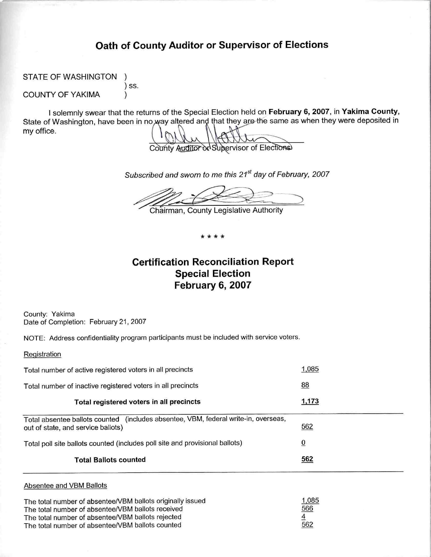## Oath of County Auditor or Supervisor of Elections

STATE OF WASHINGTON

) SS.

 $\lambda$ 

**COUNTY OF YAKIMA** 

I solemnly swear that the returns of the Special Election held on February 6, 2007, in Yakima County, State of Washington, have been in no way altered and that they are the same as when they were deposited in my office.

County Auditor or Supervisor of Elections

Subscribed and sworn to me this 21<sup>st</sup> day of February, 2007

Chairman, County Legislative Authority

\* \* \* \*

# **Certification Reconciliation Report Special Election** February 6, 2007

County: Yakima Date of Completion: February 21, 2007

NOTE: Address confidentiality program participants must be included with service voters.

Registration

| Total number of active registered voters in all precincts                                                                 | 1,085          |
|---------------------------------------------------------------------------------------------------------------------------|----------------|
| Total number of inactive registered voters in all precincts                                                               | 88             |
| Total registered voters in all precincts                                                                                  | 1,173          |
| Total absentee ballots counted (includes absentee, VBM, federal write-in, overseas,<br>out of state, and service ballots) | 562            |
| Total poll site ballots counted (includes poll site and provisional ballots)                                              | $\overline{0}$ |
| <b>Total Ballots counted</b>                                                                                              | 562            |
|                                                                                                                           |                |

#### Absentee and VBM Ballots

The total number of absentee/VBM ballots originally issued 1,085 The total number of absentee/VBM ballots received 566 The total number of absentee/VBM ballots rejected The total number of absentee/VBM ballots counted 562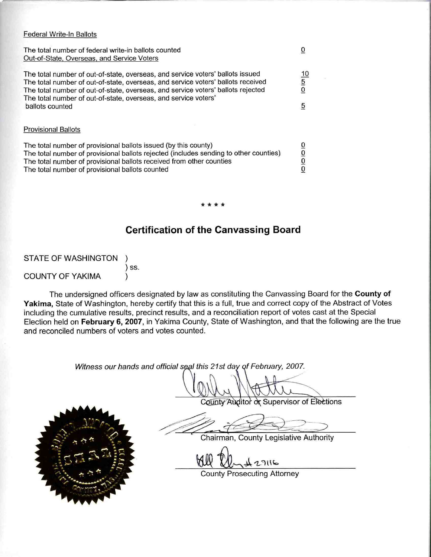#### Federal Write-In Ballots

The total number of federal write-in ballots counted  $\overline{0}$ Out-of-State, Overseas, and Service Voters The total number of out-of-state, overseas, and service voters' ballots issued  $10$  $\frac{5}{0}$ The total number of out-of-state, overseas, and service voters' ballots received The total number of out-of-state, overseas, and service voters' ballots rejected The total number of out-of-state, overseas, and service voters'  $\sqrt{5}$ ballots counted **Provisional Ballots** The total number of provisional ballots issued (by this county)  $\frac{1}{2}$ The total number of provisional ballots rejected (includes sending to other counties) The total number of provisional ballots received from other counties The total number of provisional ballots counted

## **Certification of the Canvassing Board**

**STATE OF WASHINGTON** ) SS. **COUNTY OF YAKIMA** 

The undersigned officers designated by law as constituting the Canvassing Board for the County of Yakima, State of Washington, hereby certify that this is a full, true and correct copy of the Abstract of Votes including the cumulative results, precinct results, and a reconciliation report of votes cast at the Special Election held on February 6, 2007, in Yakima County, State of Washington, and that the following are the true and reconciled numbers of voters and votes counted.

Witness our hands and official seal this 21st day of February, 2007.

County Auditor or Supervisor of Elections

Chairman, County Legislative Authority

**County Prosecuting Attorney** 

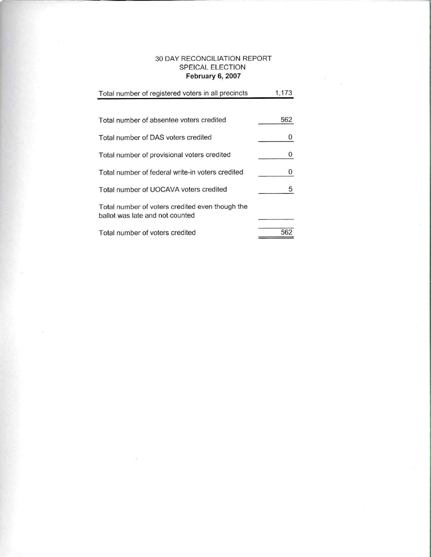#### 30 DAY RECONCILIATION REPORT SPEICAL ELECTION February 6, 2007

| Total number of registered voters in all precincts                                 | 1,173 |
|------------------------------------------------------------------------------------|-------|
|                                                                                    |       |
| Total number of absentee voters credited                                           | 562   |
| Total number of DAS voters credited                                                | 0     |
| Total number of provisional voters credited                                        | 0     |
| Total number of federal write-in voters credited                                   | 0     |
| Total number of UOCAVA voters credited                                             | 5     |
| Total number of voters credited even though the<br>ballot was late and not counted |       |
| Total number of voters credited                                                    | 562   |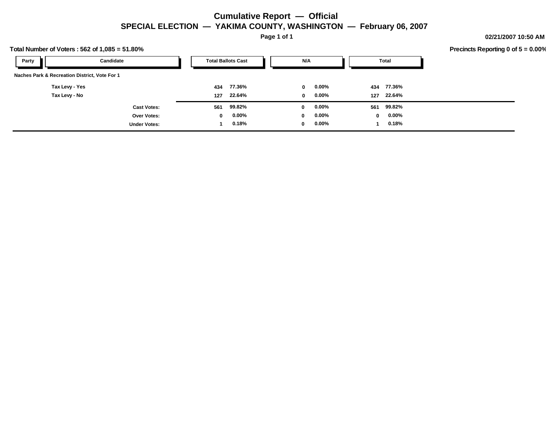#### **Cumulative Report — Official SPECIAL ELECTION — YAKIMA COUNTY, WASHINGTON — February 06, 2007**

**Page 1 of 1**

**02/21/2007 10:50 AM**

| Fotal Number of Voters: 562 of 1,085 = 51.80% |                     |              |                           |              |          |              |            |  | Precincts Reporting 0 of $5 = 0.00\%$ |
|-----------------------------------------------|---------------------|--------------|---------------------------|--------------|----------|--------------|------------|--|---------------------------------------|
| Party                                         | Candidate           |              | <b>Total Ballots Cast</b> | N/A          |          |              | Total      |  |                                       |
| Naches Park & Recreation District, Vote For 1 |                     |              |                           |              |          |              |            |  |                                       |
| Tax Levy - Yes                                |                     | 434          | 77.36%                    | $\mathbf{0}$ | $0.00\%$ | 434          | 77.36%     |  |                                       |
| Tax Levy - No                                 |                     | 127          | 22.64%                    | $\mathbf{0}$ | $0.00\%$ |              | 127 22.64% |  |                                       |
|                                               | <b>Cast Votes:</b>  | 561          | 99.82%                    | $\mathbf 0$  | $0.00\%$ | 561          | 99.82%     |  |                                       |
|                                               | Over Votes:         | $\mathbf{0}$ | $0.00\%$                  | 0            | $0.00\%$ | $\mathbf{0}$ | $0.00\%$   |  |                                       |
|                                               | <b>Under Votes:</b> |              | 0.18%                     | 0            | $0.00\%$ |              | 0.18%      |  |                                       |